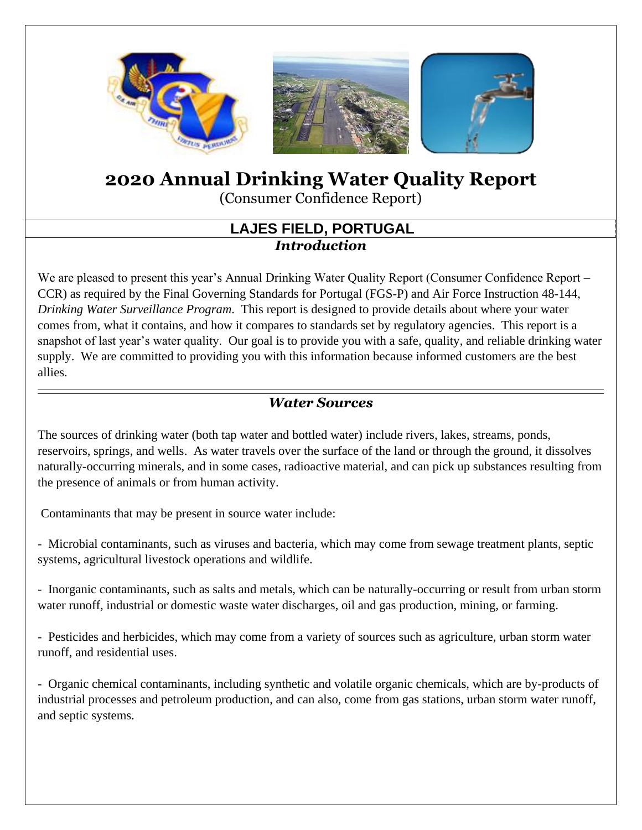

# **2020 Annual Drinking Water Quality Report**

(Consumer Confidence Report)

#### **LAJES FIELD, PORTUGAL** *Introduction*

We are pleased to present this year's Annual Drinking Water Quality Report (Consumer Confidence Report – CCR) as required by the Final Governing Standards for Portugal (FGS-P) and Air Force Instruction 48-144, *Drinking Water Surveillance Program*. This report is designed to provide details about where your water comes from, what it contains, and how it compares to standards set by regulatory agencies. This report is a snapshot of last year's water quality. Our goal is to provide you with a safe, quality, and reliable drinking water supply. We are committed to providing you with this information because informed customers are the best allies.

#### *Water Sources*

The sources of drinking water (both tap water and bottled water) include rivers, lakes, streams, ponds, reservoirs, springs, and wells. As water travels over the surface of the land or through the ground, it dissolves naturally-occurring minerals, and in some cases, radioactive material, and can pick up substances resulting from the presence of animals or from human activity.

Contaminants that may be present in source water include:

- Microbial contaminants, such as viruses and bacteria, which may come from sewage treatment plants, septic systems, agricultural livestock operations and wildlife.

- Inorganic contaminants, such as salts and metals, which can be naturally-occurring or result from urban storm water runoff, industrial or domestic waste water discharges, oil and gas production, mining, or farming.

- Pesticides and herbicides, which may come from a variety of sources such as agriculture, urban storm water runoff, and residential uses.

- Organic chemical contaminants, including synthetic and volatile organic chemicals, which are by-products of industrial processes and petroleum production, and can also, come from gas stations, urban storm water runoff, and septic systems.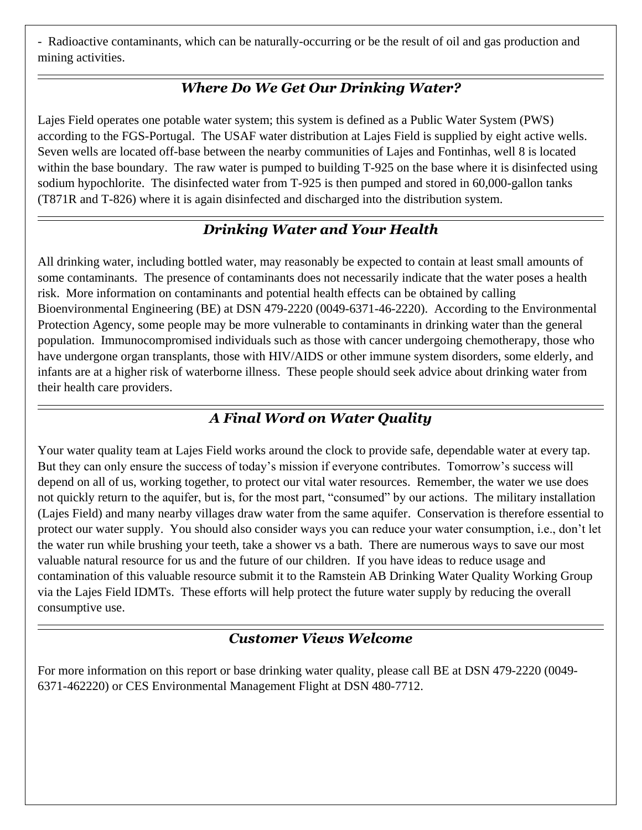- Radioactive contaminants, which can be naturally-occurring or be the result of oil and gas production and mining activities.

## *Where Do We Get Our Drinking Water?*

Lajes Field operates one potable water system; this system is defined as a Public Water System (PWS) according to the FGS-Portugal. The USAF water distribution at Lajes Field is supplied by eight active wells. Seven wells are located off-base between the nearby communities of Lajes and Fontinhas, well 8 is located within the base boundary. The raw water is pumped to building T-925 on the base where it is disinfected using sodium hypochlorite. The disinfected water from T-925 is then pumped and stored in 60,000-gallon tanks (T871R and T-826) where it is again disinfected and discharged into the distribution system.

## *Drinking Water and Your Health*

All drinking water, including bottled water, may reasonably be expected to contain at least small amounts of some contaminants. The presence of contaminants does not necessarily indicate that the water poses a health risk. More information on contaminants and potential health effects can be obtained by calling Bioenvironmental Engineering (BE) at DSN 479-2220 (0049-6371-46-2220). According to the Environmental Protection Agency, some people may be more vulnerable to contaminants in drinking water than the general population. Immunocompromised individuals such as those with cancer undergoing chemotherapy, those who have undergone organ transplants, those with HIV/AIDS or other immune system disorders, some elderly, and infants are at a higher risk of waterborne illness. These people should seek advice about drinking water from their health care providers.

## *A Final Word on Water Quality*

Your water quality team at Lajes Field works around the clock to provide safe, dependable water at every tap. But they can only ensure the success of today's mission if everyone contributes. Tomorrow's success will depend on all of us, working together, to protect our vital water resources. Remember, the water we use does not quickly return to the aquifer, but is, for the most part, "consumed" by our actions. The military installation (Lajes Field) and many nearby villages draw water from the same aquifer. Conservation is therefore essential to protect our water supply. You should also consider ways you can reduce your water consumption, i.e., don't let the water run while brushing your teeth, take a shower vs a bath. There are numerous ways to save our most valuable natural resource for us and the future of our children. If you have ideas to reduce usage and contamination of this valuable resource submit it to the Ramstein AB Drinking Water Quality Working Group via the Lajes Field IDMTs. These efforts will help protect the future water supply by reducing the overall consumptive use.

#### *Customer Views Welcome*

For more information on this report or base drinking water quality, please call BE at DSN 479-2220 (0049- 6371-462220) or CES Environmental Management Flight at DSN 480-7712.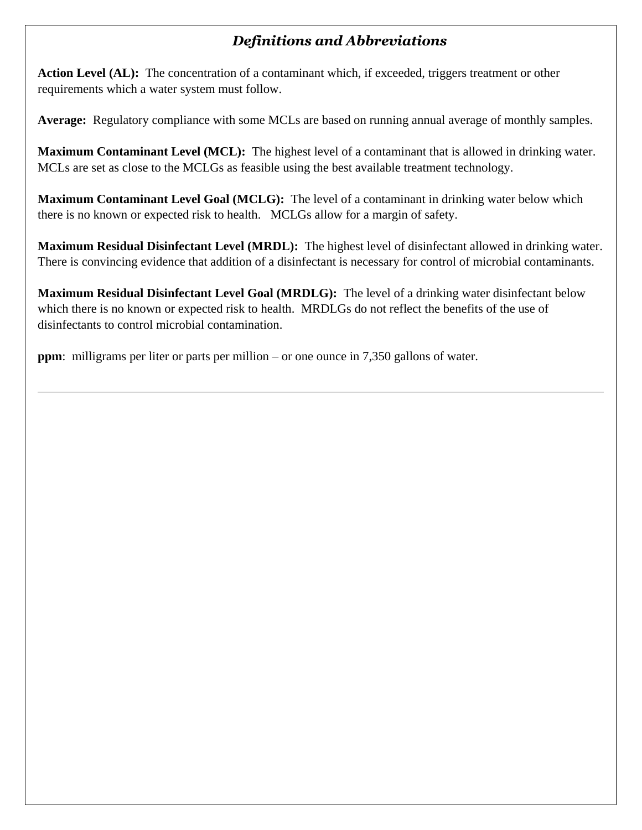## *Definitions and Abbreviations*

**Action Level (AL):** The concentration of a contaminant which, if exceeded, triggers treatment or other requirements which a water system must follow.

**Average:** Regulatory compliance with some MCLs are based on running annual average of monthly samples.

**Maximum Contaminant Level (MCL):** The highest level of a contaminant that is allowed in drinking water. MCLs are set as close to the MCLGs as feasible using the best available treatment technology.

**Maximum Contaminant Level Goal (MCLG):** The level of a contaminant in drinking water below which there is no known or expected risk to health. MCLGs allow for a margin of safety.

**Maximum Residual Disinfectant Level (MRDL):** The highest level of disinfectant allowed in drinking water. There is convincing evidence that addition of a disinfectant is necessary for control of microbial contaminants.

**Maximum Residual Disinfectant Level Goal (MRDLG):** The level of a drinking water disinfectant below which there is no known or expected risk to health. MRDLGs do not reflect the benefits of the use of disinfectants to control microbial contamination.

**ppm**: milligrams per liter or parts per million – or one ounce in 7,350 gallons of water.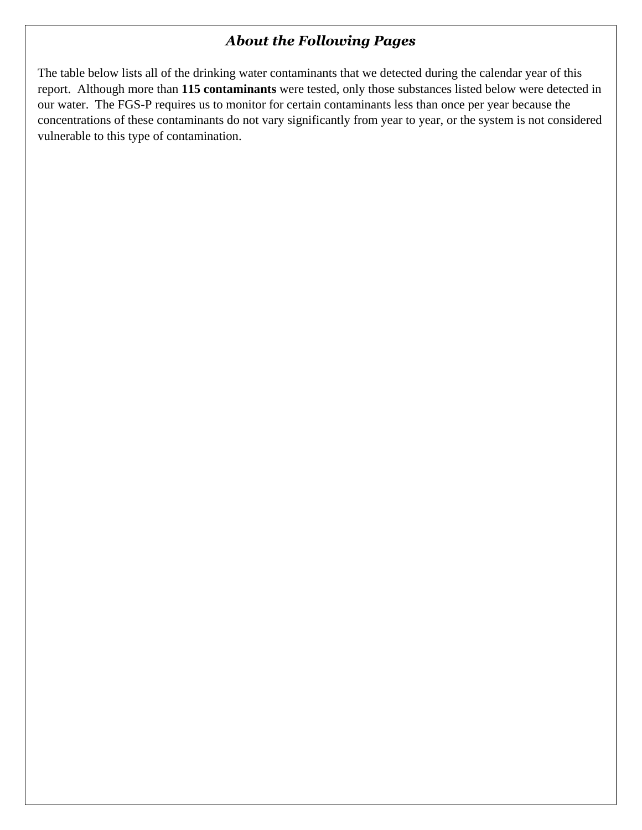#### *About the Following Pages*

The table below lists all of the drinking water contaminants that we detected during the calendar year of this report. Although more than **115 contaminants** were tested, only those substances listed below were detected in our water. The FGS-P requires us to monitor for certain contaminants less than once per year because the concentrations of these contaminants do not vary significantly from year to year, or the system is not considered vulnerable to this type of contamination.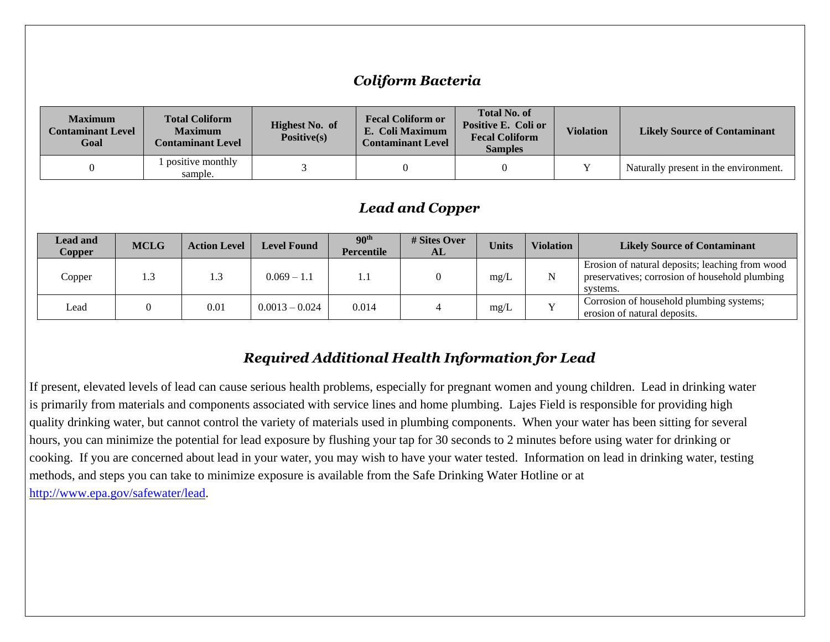#### *Coliform Bacteria*

| <b>Maximum</b><br><b>Contaminant Level</b><br>Goal | <b>Total Coliform</b><br><b>Maximum</b><br><b>Contaminant Level</b> | <b>Highest No. of</b><br>Positive(s) | <b>Fecal Coliform or</b><br>Positive E. Coli or<br>E. Coli Maximum<br><b>Contaminant Level</b> |  | <b>Violation</b> | <b>Likely Source of Contaminant</b>   |
|----------------------------------------------------|---------------------------------------------------------------------|--------------------------------------|------------------------------------------------------------------------------------------------|--|------------------|---------------------------------------|
|                                                    | positive monthly<br>sample.                                         |                                      |                                                                                                |  |                  | Naturally present in the environment. |

#### *Lead and Copper*

| <b>Lead and</b><br>Copper | <b>MCLG</b> | <b>Action Level</b> | <b>Level Found</b> | 90 <sup>th</sup><br><b>Percentile</b> | # Sites Over<br>AL | <b>Units</b> | <b>Violation</b> | <b>Likely Source of Contaminant</b>                                                                           |
|---------------------------|-------------|---------------------|--------------------|---------------------------------------|--------------------|--------------|------------------|---------------------------------------------------------------------------------------------------------------|
| Copper                    | 1.3         | $\cdot$ .3          | $0.069 - 1.1$      | 1.1                                   |                    | mg/L         |                  | Erosion of natural deposits; leaching from wood<br>preservatives; corrosion of household plumbing<br>systems. |
| Lead                      |             | 0.01                | $0.0013 - 0.024$   | 0.014                                 |                    | mg/L         |                  | Corrosion of household plumbing systems;<br>erosion of natural deposits.                                      |

#### *Required Additional Health Information for Lead*

If present, elevated levels of lead can cause serious health problems, especially for pregnant women and young children. Lead in drinking water is primarily from materials and components associated with service lines and home plumbing. Lajes Field is responsible for providing high quality drinking water, but cannot control the variety of materials used in plumbing components. When your water has been sitting for several hours, you can minimize the potential for lead exposure by flushing your tap for 30 seconds to 2 minutes before using water for drinking or cooking. If you are concerned about lead in your water, you may wish to have your water tested. Information on lead in drinking water, testing methods, and steps you can take to minimize exposure is available from the Safe Drinking Water Hotline or at [http://www.epa.gov/safewater/lead.](http://www.epa.gov/safewater/lead)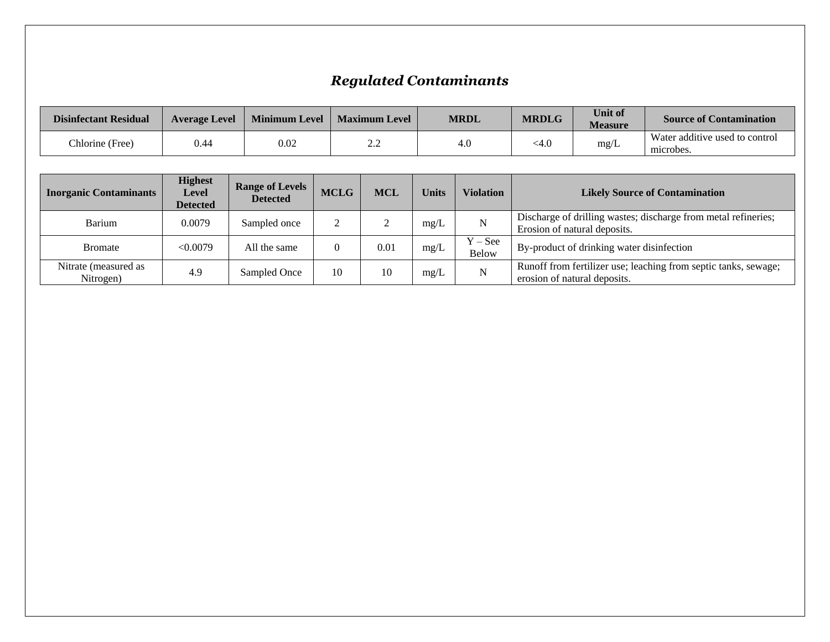## *Regulated Contaminants*

| <b>Disinfectant Residual</b> | <b>Average Level</b> | <b>Minimum Level</b> | <b>Maximum Level</b> | <b>MRDL</b> | <b>MRDLG</b> | <b>Unit of</b><br><b>Measure</b> | <b>Source of Contamination</b>              |
|------------------------------|----------------------|----------------------|----------------------|-------------|--------------|----------------------------------|---------------------------------------------|
| Chlorine (Free)              | 0.44                 | 0.02                 |                      | 4.0         | <4.0         | mg/L                             | Water additive used to control<br>microbes. |

| <b>Inorganic Contaminants</b>     | <b>Highest</b><br>Level<br><b>Detected</b> | <b>Range of Levels</b><br><b>Detected</b> | <b>MCLG</b> | <b>MCL</b> | <b>Units</b> | <b>Violation</b>                   | <b>Likely Source of Contamination</b>                                                           |
|-----------------------------------|--------------------------------------------|-------------------------------------------|-------------|------------|--------------|------------------------------------|-------------------------------------------------------------------------------------------------|
| Barium                            | 0.0079                                     | Sampled once                              |             | ∠          | mg/L         | N                                  | Discharge of drilling wastes; discharge from metal refineries;<br>Erosion of natural deposits.  |
| <b>Bromate</b>                    | < 0.0079                                   | All the same                              |             | 0.01       | mg/L         | $Y - \mathrm{See}$<br><b>Below</b> | By-product of drinking water disinfection                                                       |
| Nitrate (measured as<br>Nitrogen) | 4.9                                        | Sampled Once                              | 10          | 10         | mg/L         | $\mathbf N$                        | Runoff from fertilizer use; leaching from septic tanks, sewage;<br>erosion of natural deposits. |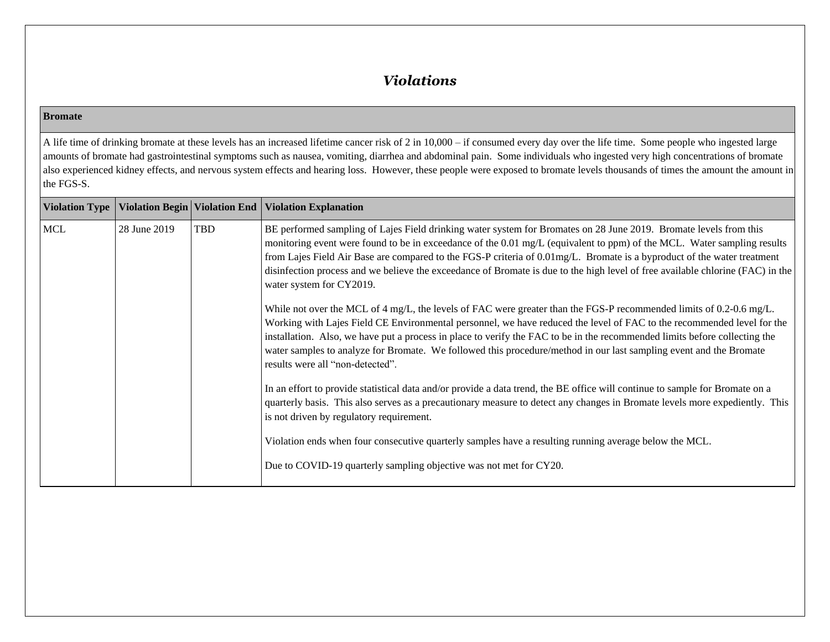#### *Violations*

#### **Bromate**

A life time of drinking bromate at these levels has an increased lifetime cancer risk of 2 in 10,000 – if consumed every day over the life time. Some people who ingested large amounts of bromate had gastrointestinal symptoms such as nausea, vomiting, diarrhea and abdominal pain. Some individuals who ingested very high concentrations of bromate also experienced kidney effects, and nervous system effects and hearing loss. However, these people were exposed to bromate levels thousands of times the amount the amount in the FGS-S.

| <b>Violation Type</b> |              |     | Violation Begin   Violation End   Violation Explanation                                                                                                                                                                                                                                                                                                                                                                                                                                                                               |
|-----------------------|--------------|-----|---------------------------------------------------------------------------------------------------------------------------------------------------------------------------------------------------------------------------------------------------------------------------------------------------------------------------------------------------------------------------------------------------------------------------------------------------------------------------------------------------------------------------------------|
| <b>MCL</b>            | 28 June 2019 | TBD | BE performed sampling of Lajes Field drinking water system for Bromates on 28 June 2019. Bromate levels from this<br>monitoring event were found to be in exceedance of the 0.01 mg/L (equivalent to ppm) of the MCL. Water sampling results<br>from Lajes Field Air Base are compared to the FGS-P criteria of 0.01mg/L. Bromate is a byproduct of the water treatment<br>disinfection process and we believe the exceedance of Bromate is due to the high level of free available chlorine (FAC) in the<br>water system for CY2019. |
|                       |              |     | While not over the MCL of 4 mg/L, the levels of FAC were greater than the FGS-P recommended limits of 0.2-0.6 mg/L.<br>Working with Lajes Field CE Environmental personnel, we have reduced the level of FAC to the recommended level for the<br>installation. Also, we have put a process in place to verify the FAC to be in the recommended limits before collecting the<br>water samples to analyze for Bromate. We followed this procedure/method in our last sampling event and the Bromate<br>results were all "non-detected". |
|                       |              |     | In an effort to provide statistical data and/or provide a data trend, the BE office will continue to sample for Bromate on a<br>quarterly basis. This also serves as a precautionary measure to detect any changes in Bromate levels more expediently. This<br>is not driven by regulatory requirement.                                                                                                                                                                                                                               |
|                       |              |     | Violation ends when four consecutive quarterly samples have a resulting running average below the MCL.<br>Due to COVID-19 quarterly sampling objective was not met for CY20.                                                                                                                                                                                                                                                                                                                                                          |
|                       |              |     |                                                                                                                                                                                                                                                                                                                                                                                                                                                                                                                                       |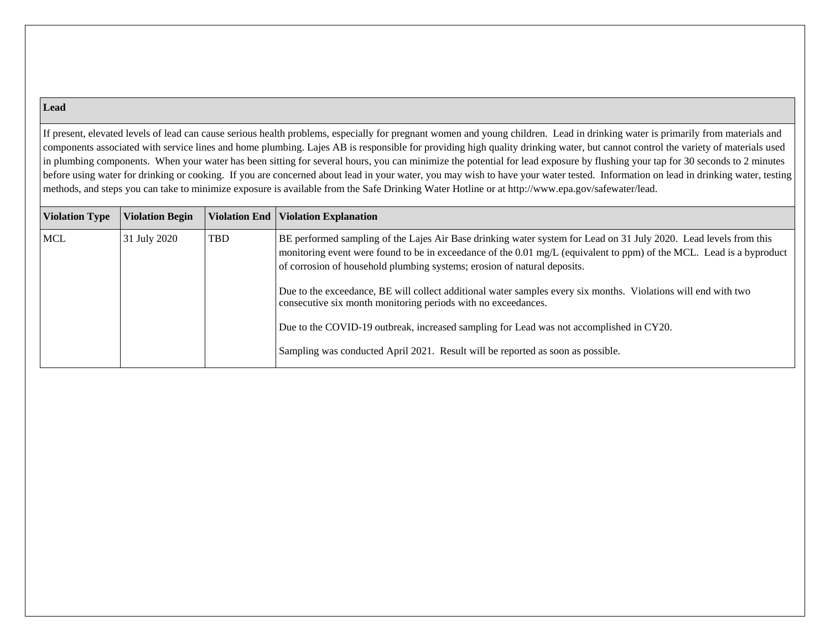#### **Lead**

If present, elevated levels of lead can cause serious health problems, especially for pregnant women and young children. Lead in drinking water is primarily from materials and components associated with service lines and home plumbing. Lajes AB is responsible for providing high quality drinking water, but cannot control the variety of materials used in plumbing components. When your water has been sitting for several hours, you can minimize the potential for lead exposure by flushing your tap for 30 seconds to 2 minutes before using water for drinking or cooking. If you are concerned about lead in your water, you may wish to have your water tested. Information on lead in drinking water, testing methods, and steps you can take to minimize exposure is available from the Safe Drinking Water Hotline or at http://www.epa.gov/safewater/lead.

| <b>Violation Type</b> | <b>Violation Begin</b> |            | Violation End   Violation Explanation                                                                                                                                                                                                                                                                                 |
|-----------------------|------------------------|------------|-----------------------------------------------------------------------------------------------------------------------------------------------------------------------------------------------------------------------------------------------------------------------------------------------------------------------|
| <b>MCL</b>            | 31 July 2020           | <b>TBD</b> | BE performed sampling of the Lajes Air Base drinking water system for Lead on 31 July 2020. Lead levels from this<br>monitoring event were found to be in exceedance of the 0.01 mg/L (equivalent to ppm) of the MCL. Lead is a byproduct<br>of corrosion of household plumbing systems; erosion of natural deposits. |
|                       |                        |            | Due to the exceedance, BE will collect additional water samples every six months. Violations will end with two<br>consecutive six month monitoring periods with no exceedances.                                                                                                                                       |
|                       |                        |            | Due to the COVID-19 outbreak, increased sampling for Lead was not accomplished in CY20.                                                                                                                                                                                                                               |
|                       |                        |            | Sampling was conducted April 2021. Result will be reported as soon as possible.                                                                                                                                                                                                                                       |